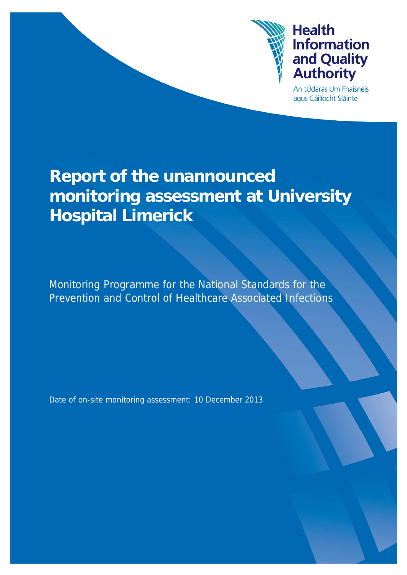

# **Health Information** and Quality **Authority**

An tÚdarás Um Fhaisnéis agus Cáilíocht Sláinte

# **Report of the unannounced monitoring assessment at University Hospital Limerick**

Monitoring Programme for the National Standards for the Prevention and Control of Healthcare Associated Infections

Date of on-site monitoring assessment: 10 December 2013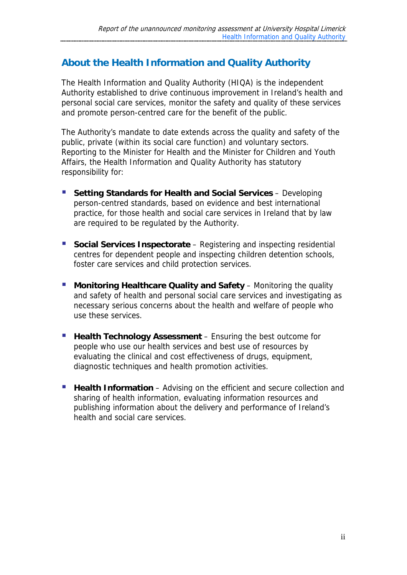# **About the Health Information and Quality Authority**

The Health Information and Quality Authority (HIQA) is the independent Authority established to drive continuous improvement in Ireland's health and personal social care services, monitor the safety and quality of these services and promote person-centred care for the benefit of the public.

The Authority's mandate to date extends across the quality and safety of the public, private (within its social care function) and voluntary sectors. Reporting to the Minister for Health and the Minister for Children and Youth Affairs, the Health Information and Quality Authority has statutory responsibility for:

- **F** Setting Standards for Health and Social Services Developing person-centred standards, based on evidence and best international practice, for those health and social care services in Ireland that by law are required to be regulated by the Authority.
- **Social Services Inspectorate** Registering and inspecting residential centres for dependent people and inspecting children detention schools, foster care services and child protection services.
- **Monitoring Healthcare Quality and Safety** Monitoring the quality and safety of health and personal social care services and investigating as necessary serious concerns about the health and welfare of people who use these services.
- **Health Technology Assessment** Ensuring the best outcome for people who use our health services and best use of resources by evaluating the clinical and cost effectiveness of drugs, equipment, diagnostic techniques and health promotion activities.
- **Health Information** Advising on the efficient and secure collection and sharing of health information, evaluating information resources and publishing information about the delivery and performance of Ireland's health and social care services.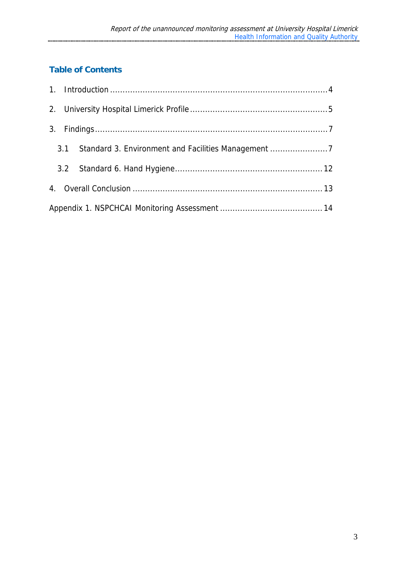# **Table of Contents**

|  |  | 3.1 Standard 3. Environment and Facilities Management 7 |
|--|--|---------------------------------------------------------|
|  |  |                                                         |
|  |  |                                                         |
|  |  |                                                         |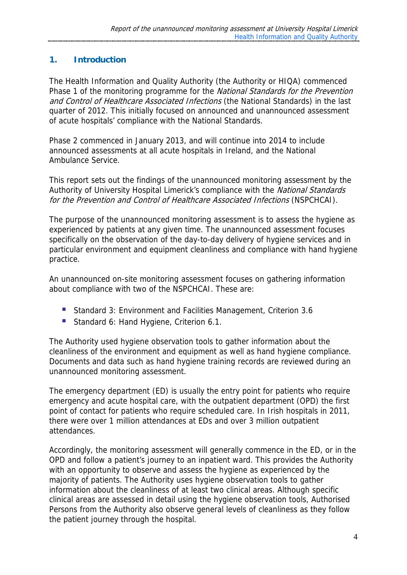# **1. Introduction**

The Health Information and Quality Authority (the Authority or HIQA) commenced Phase 1 of the monitoring programme for the National Standards for the Prevention and Control of Healthcare Associated Infections (the National Standards) in the last quarter of 2012. This initially focused on announced and unannounced assessment of acute hospitals' compliance with the National Standards.

Phase 2 commenced in January 2013, and will continue into 2014 to include announced assessments at all acute hospitals in Ireland, and the National Ambulance Service.

This report sets out the findings of the unannounced monitoring assessment by the Authority of University Hospital Limerick's compliance with the National Standards for the Prevention and Control of Healthcare Associated Infections (NSPCHCAI).

The purpose of the unannounced monitoring assessment is to assess the hygiene as experienced by patients at any given time. The unannounced assessment focuses specifically on the observation of the day-to-day delivery of hygiene services and in particular environment and equipment cleanliness and compliance with hand hygiene practice.

An unannounced on-site monitoring assessment focuses on gathering information about compliance with two of the NSPCHCAI. These are:

- Standard 3: Environment and Facilities Management, Criterion 3.6
- Standard 6: Hand Hygiene, Criterion 6.1.

The Authority used hygiene observation tools to gather information about the cleanliness of the environment and equipment as well as hand hygiene compliance. Documents and data such as hand hygiene training records are reviewed during an unannounced monitoring assessment.

The emergency department (ED) is usually the entry point for patients who require emergency and acute hospital care, with the outpatient department (OPD) the first point of contact for patients who require scheduled care. In Irish hospitals in 2011, there were over 1 million attendances at EDs and over 3 million outpatient attendances.

Accordingly, the monitoring assessment will generally commence in the ED, or in the OPD and follow a patient's journey to an inpatient ward. This provides the Authority with an opportunity to observe and assess the hygiene as experienced by the majority of patients. The Authority uses hygiene observation tools to gather information about the cleanliness of at least two clinical areas. Although specific clinical areas are assessed in detail using the hygiene observation tools, Authorised Persons from the Authority also observe general levels of cleanliness as they follow the patient journey through the hospital.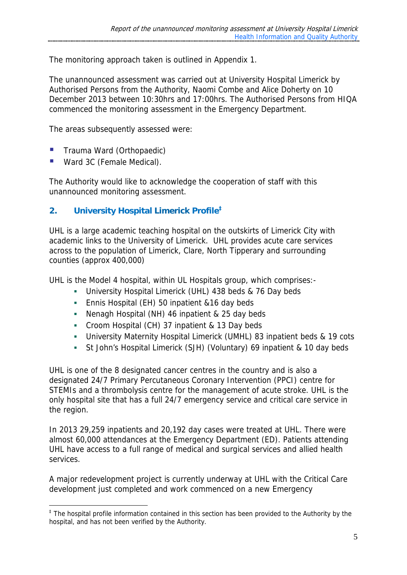The monitoring approach taken is outlined in Appendix 1.

The unannounced assessment was carried out at University Hospital Limerick by Authorised Persons from the Authority, Naomi Combe and Alice Doherty on 10 December 2013 between 10:30hrs and 17:00hrs. The Authorised Persons from HIQA commenced the monitoring assessment in the Emergency Department.

The areas subsequently assessed were:

- Trauma Ward (Orthopaedic)
- **Ward 3C (Female Medical).**

<u>.</u>

The Authority would like to acknowledge the cooperation of staff with this unannounced monitoring assessment.

# **2. University Hospital Limerick Profile‡**

UHL is a large academic teaching hospital on the outskirts of Limerick City with academic links to the University of Limerick. UHL provides acute care services across to the population of Limerick, Clare, North Tipperary and surrounding counties (approx 400,000)

UHL is the Model 4 hospital, within UL Hospitals group, which comprises:-

- University Hospital Limerick (UHL) 438 beds & 76 Day beds
- Ennis Hospital (EH) 50 inpatient &16 day beds
- Nenagh Hospital (NH) 46 inpatient & 25 day beds
- Croom Hospital (CH) 37 inpatient & 13 Day beds
- University Maternity Hospital Limerick (UMHL) 83 inpatient beds & 19 cots
- St John's Hospital Limerick (SJH) (Voluntary) 69 inpatient & 10 day beds

UHL is one of the 8 designated cancer centres in the country and is also a designated 24/7 Primary Percutaneous Coronary Intervention (PPCI) centre for STEMIs and a thrombolysis centre for the management of acute stroke. UHL is the only hospital site that has a full 24/7 emergency service and critical care service in the region.

In 2013 29,259 inpatients and 20,192 day cases were treated at UHL. There were almost 60,000 attendances at the Emergency Department (ED). Patients attending UHL have access to a full range of medical and surgical services and allied health services.

A major redevelopment project is currently underway at UHL with the Critical Care development just completed and work commenced on a new Emergency

<sup>&</sup>lt;sup>‡</sup> The hospital profile information contained in this section has been provided to the Authority by the hospital, and has not been verified by the Authority.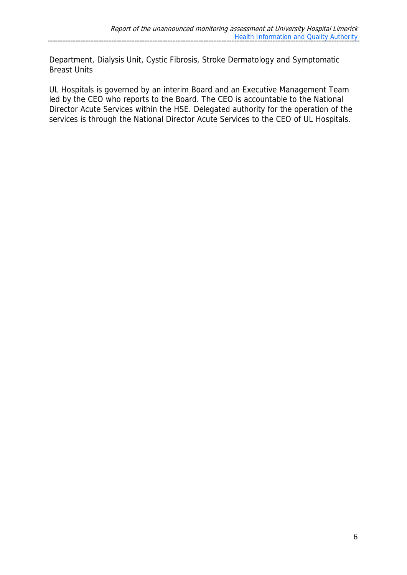Department, Dialysis Unit, Cystic Fibrosis, Stroke Dermatology and Symptomatic Breast Units

UL Hospitals is governed by an interim Board and an Executive Management Team led by the CEO who reports to the Board. The CEO is accountable to the National Director Acute Services within the HSE. Delegated authority for the operation of the services is through the National Director Acute Services to the CEO of UL Hospitals.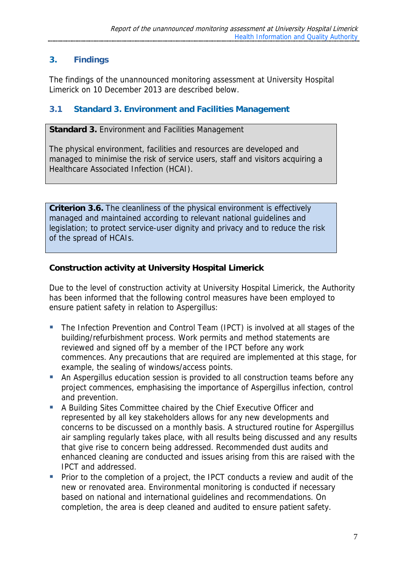# **3. Findings**

The findings of the unannounced monitoring assessment at University Hospital Limerick on 10 December 2013 are described below.

# **3.1 Standard 3. Environment and Facilities Management**

**Standard 3.** Environment and Facilities Management

The physical environment, facilities and resources are developed and managed to minimise the risk of service users, staff and visitors acquiring a Healthcare Associated Infection (HCAI).

**Criterion 3.6.** The cleanliness of the physical environment is effectively managed and maintained according to relevant national guidelines and legislation; to protect service-user dignity and privacy and to reduce the risk of the spread of HCAIs.

#### **Construction activity at University Hospital Limerick**

Due to the level of construction activity at University Hospital Limerick, the Authority has been informed that the following control measures have been employed to ensure patient safety in relation to Aspergillus:

- The Infection Prevention and Control Team (IPCT) is involved at all stages of the building/refurbishment process. Work permits and method statements are reviewed and signed off by a member of the IPCT before any work commences. Any precautions that are required are implemented at this stage, for example, the sealing of windows/access points.
- An Aspergillus education session is provided to all construction teams before any project commences, emphasising the importance of Aspergillus infection, control and prevention.
- A Building Sites Committee chaired by the Chief Executive Officer and represented by all key stakeholders allows for any new developments and concerns to be discussed on a monthly basis. A structured routine for Aspergillus air sampling regularly takes place, with all results being discussed and any results that give rise to concern being addressed. Recommended dust audits and enhanced cleaning are conducted and issues arising from this are raised with the IPCT and addressed.
- **Prior to the completion of a project, the IPCT conducts a review and audit of the** new or renovated area. Environmental monitoring is conducted if necessary based on national and international guidelines and recommendations. On completion, the area is deep cleaned and audited to ensure patient safety.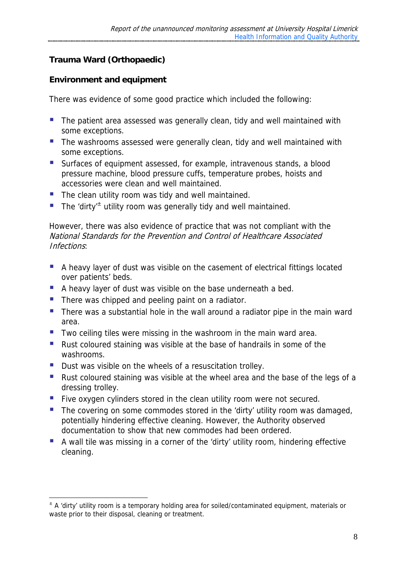# **Trauma Ward (Orthopaedic)**

#### **Environment and equipment**

There was evidence of some good practice which included the following:

- **The patient area assessed was generally clean, tidy and well maintained with** some exceptions.
- The washrooms assessed were generally clean, tidy and well maintained with some exceptions.
- Surfaces of equipment assessed, for example, intravenous stands, a blood pressure machine, blood pressure cuffs, temperature probes, hoists and accessories were clean and well maintained.
- The clean utility room was tidy and well maintained.
- The 'dirty'<sup> $\pm$ </sup> utility room was generally tidy and well maintained.

However, there was also evidence of practice that was not compliant with the National Standards for the Prevention and Control of Healthcare Associated Infections:

- A heavy layer of dust was visible on the casement of electrical fittings located over patients' beds.
- A heavy layer of dust was visible on the base underneath a bed.
- **There was chipped and peeling paint on a radiator.**
- There was a substantial hole in the wall around a radiator pipe in the main ward area.
- Two ceiling tiles were missing in the washroom in the main ward area.
- Rust coloured staining was visible at the base of handrails in some of the washrooms.
- Dust was visible on the wheels of a resuscitation trolley.

1

- Rust coloured staining was visible at the wheel area and the base of the legs of a dressing trolley.
- Five oxygen cylinders stored in the clean utility room were not secured.
- The covering on some commodes stored in the 'dirty' utility room was damaged, potentially hindering effective cleaning. However, the Authority observed documentation to show that new commodes had been ordered.
- A wall tile was missing in a corner of the 'dirty' utility room, hindering effective cleaning.

<sup>±</sup> A 'dirty' utility room is a temporary holding area for soiled/contaminated equipment, materials or waste prior to their disposal, cleaning or treatment.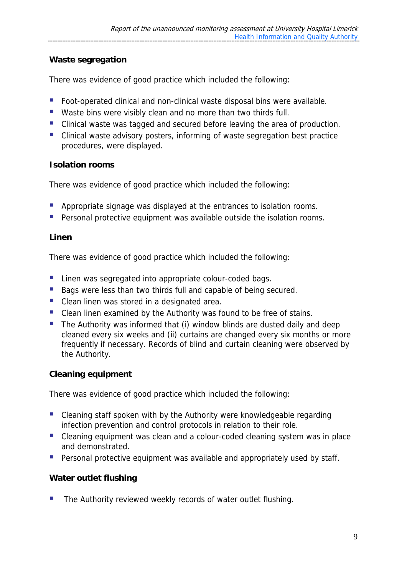#### **Waste segregation**

There was evidence of good practice which included the following:

- Foot-operated clinical and non-clinical waste disposal bins were available.
- Waste bins were visibly clean and no more than two thirds full.
- Clinical waste was tagged and secured before leaving the area of production.
- Clinical waste advisory posters, informing of waste segregation best practice procedures, were displayed.

#### **Isolation rooms**

There was evidence of good practice which included the following:

- **Appropriate signage was displayed at the entrances to isolation rooms.**
- **Personal protective equipment was available outside the isolation rooms.**

#### **Linen**

There was evidence of good practice which included the following:

- **Linen was segregated into appropriate colour-coded bags.**
- Bags were less than two thirds full and capable of being secured.
- **Clean linen was stored in a designated area.**
- Clean linen examined by the Authority was found to be free of stains.
- $\blacksquare$  The Authority was informed that (i) window blinds are dusted daily and deep cleaned every six weeks and (ii) curtains are changed every six months or more frequently if necessary. Records of blind and curtain cleaning were observed by the Authority.

#### **Cleaning equipment**

There was evidence of good practice which included the following:

- Cleaning staff spoken with by the Authority were knowledgeable regarding infection prevention and control protocols in relation to their role.
- Cleaning equipment was clean and a colour-coded cleaning system was in place and demonstrated.
- **Personal protective equipment was available and appropriately used by staff.**

#### **Water outlet flushing**

**The Authority reviewed weekly records of water outlet flushing.**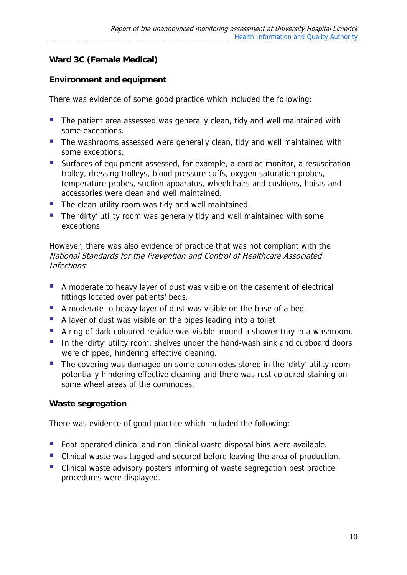# **Ward 3C (Female Medical)**

#### **Environment and equipment**

There was evidence of some good practice which included the following:

- **The patient area assessed was generally clean, tidy and well maintained with** some exceptions.
- The washrooms assessed were generally clean, tidy and well maintained with some exceptions.
- Surfaces of equipment assessed, for example, a cardiac monitor, a resuscitation trolley, dressing trolleys, blood pressure cuffs, oxygen saturation probes, temperature probes, suction apparatus, wheelchairs and cushions, hoists and accessories were clean and well maintained.
- The clean utility room was tidy and well maintained.
- **The 'dirty' utility room was generally tidy and well maintained with some** exceptions.

However, there was also evidence of practice that was not compliant with the National Standards for the Prevention and Control of Healthcare Associated Infections:

- A moderate to heavy layer of dust was visible on the casement of electrical fittings located over patients' beds.
- A moderate to heavy layer of dust was visible on the base of a bed.
- A layer of dust was visible on the pipes leading into a toilet
- A ring of dark coloured residue was visible around a shower tray in a washroom.
- In the 'dirty' utility room, shelves under the hand-wash sink and cupboard doors were chipped, hindering effective cleaning.
- The covering was damaged on some commodes stored in the 'dirty' utility room potentially hindering effective cleaning and there was rust coloured staining on some wheel areas of the commodes.

#### **Waste segregation**

There was evidence of good practice which included the following:

- Foot-operated clinical and non-clinical waste disposal bins were available.
- Clinical waste was tagged and secured before leaving the area of production.
- Clinical waste advisory posters informing of waste segregation best practice procedures were displayed.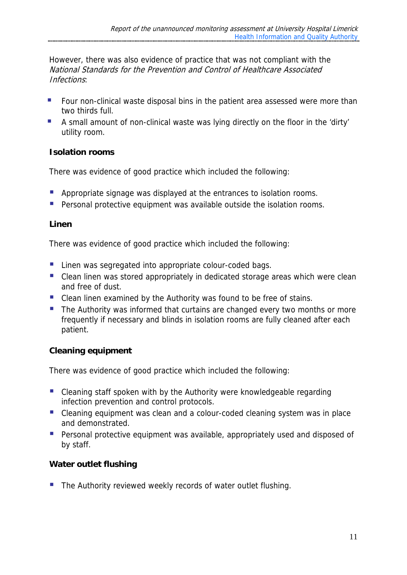However, there was also evidence of practice that was not compliant with the National Standards for the Prevention and Control of Healthcare Associated Infections:

- **F** Four non-clinical waste disposal bins in the patient area assessed were more than two thirds full.
- A small amount of non-clinical waste was lying directly on the floor in the 'dirty' utility room.

#### **Isolation rooms**

There was evidence of good practice which included the following:

- **Appropriate signage was displayed at the entrances to isolation rooms.**
- **Personal protective equipment was available outside the isolation rooms.**

#### **Linen**

There was evidence of good practice which included the following:

- **Linen was segregated into appropriate colour-coded bags.**
- Clean linen was stored appropriately in dedicated storage areas which were clean and free of dust.
- Clean linen examined by the Authority was found to be free of stains.
- The Authority was informed that curtains are changed every two months or more frequently if necessary and blinds in isolation rooms are fully cleaned after each patient.

#### **Cleaning equipment**

There was evidence of good practice which included the following:

- Cleaning staff spoken with by the Authority were knowledgeable regarding infection prevention and control protocols.
- Cleaning equipment was clean and a colour-coded cleaning system was in place and demonstrated.
- **Personal protective equipment was available, appropriately used and disposed of** by staff.

# **Water outlet flushing**

The Authority reviewed weekly records of water outlet flushing.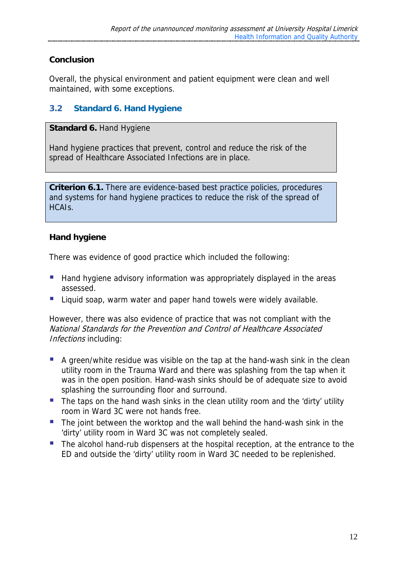# **Conclusion**

Overall, the physical environment and patient equipment were clean and well maintained, with some exceptions.

# **3.2 Standard 6. Hand Hygiene**

**Standard 6. Hand Hygiene** 

Hand hygiene practices that prevent, control and reduce the risk of the spread of Healthcare Associated Infections are in place.

**Criterion 6.1.** There are evidence-based best practice policies, procedures and systems for hand hygiene practices to reduce the risk of the spread of HCAIs.

#### **Hand hygiene**

There was evidence of good practice which included the following:

- Hand hygiene advisory information was appropriately displayed in the areas assessed.
- **Liquid soap, warm water and paper hand towels were widely available.**

However, there was also evidence of practice that was not compliant with the National Standards for the Prevention and Control of Healthcare Associated Infections including:

- A green/white residue was visible on the tap at the hand-wash sink in the clean utility room in the Trauma Ward and there was splashing from the tap when it was in the open position. Hand-wash sinks should be of adequate size to avoid splashing the surrounding floor and surround.
- The taps on the hand wash sinks in the clean utility room and the 'dirty' utility room in Ward 3C were not hands free.
- The joint between the worktop and the wall behind the hand-wash sink in the 'dirty' utility room in Ward 3C was not completely sealed.
- The alcohol hand-rub dispensers at the hospital reception, at the entrance to the ED and outside the 'dirty' utility room in Ward 3C needed to be replenished.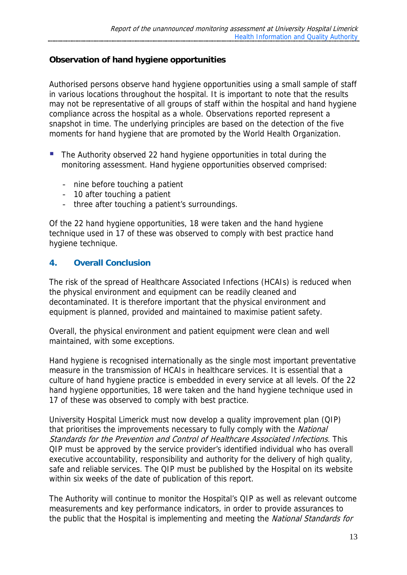#### **Observation of hand hygiene opportunities**

Authorised persons observe hand hygiene opportunities using a small sample of staff in various locations throughout the hospital. It is important to note that the results may not be representative of all groups of staff within the hospital and hand hygiene compliance across the hospital as a whole. Observations reported represent a snapshot in time. The underlying principles are based on the detection of the five moments for hand hygiene that are promoted by the World Health Organization.

- The Authority observed 22 hand hygiene opportunities in total during the monitoring assessment. Hand hygiene opportunities observed comprised:
	- nine before touching a patient
	- 10 after touching a patient
	- three after touching a patient's surroundings.

Of the 22 hand hygiene opportunities, 18 were taken and the hand hygiene technique used in 17 of these was observed to comply with best practice hand hygiene technique.

#### **4. Overall Conclusion**

The risk of the spread of Healthcare Associated Infections (HCAIs) is reduced when the physical environment and equipment can be readily cleaned and decontaminated. It is therefore important that the physical environment and equipment is planned, provided and maintained to maximise patient safety.

Overall, the physical environment and patient equipment were clean and well maintained, with some exceptions.

Hand hygiene is recognised internationally as the single most important preventative measure in the transmission of HCAIs in healthcare services. It is essential that a culture of hand hygiene practice is embedded in every service at all levels. Of the 22 hand hygiene opportunities, 18 were taken and the hand hygiene technique used in 17 of these was observed to comply with best practice.

University Hospital Limerick must now develop a quality improvement plan (QIP) that prioritises the improvements necessary to fully comply with the National Standards for the Prevention and Control of Healthcare Associated Infections. This QIP must be approved by the service provider's identified individual who has overall executive accountability, responsibility and authority for the delivery of high quality, safe and reliable services. The QIP must be published by the Hospital on its website within six weeks of the date of publication of this report.

The Authority will continue to monitor the Hospital's QIP as well as relevant outcome measurements and key performance indicators, in order to provide assurances to the public that the Hospital is implementing and meeting the National Standards for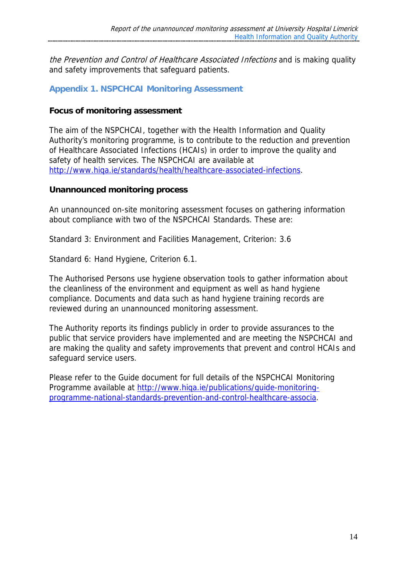the Prevention and Control of Healthcare Associated Infections and is making quality and safety improvements that safeguard patients.

#### **Appendix 1. NSPCHCAI Monitoring Assessment**

#### **Focus of monitoring assessment**

The aim of the NSPCHCAI, together with the Health Information and Quality Authority's monitoring programme, is to contribute to the reduction and prevention of Healthcare Associated Infections (HCAIs) in order to improve the quality and safety of health services. The NSPCHCAI are available at http://www.hiqa.ie/standards/health/healthcare-associated-infections.

#### **Unannounced monitoring process**

An unannounced on-site monitoring assessment focuses on gathering information about compliance with two of the NSPCHCAI Standards. These are:

Standard 3: Environment and Facilities Management, Criterion: 3.6

Standard 6: Hand Hygiene, Criterion 6.1.

The Authorised Persons use hygiene observation tools to gather information about the cleanliness of the environment and equipment as well as hand hygiene compliance. Documents and data such as hand hygiene training records are reviewed during an unannounced monitoring assessment.

The Authority reports its findings publicly in order to provide assurances to the public that service providers have implemented and are meeting the NSPCHCAI and are making the quality and safety improvements that prevent and control HCAIs and safeguard service users.

Please refer to the Guide document for full details of the NSPCHCAI Monitoring Programme available at http://www.hiqa.ie/publications/guide-monitoringprogramme-national-standards-prevention-and-control-healthcare-associa.